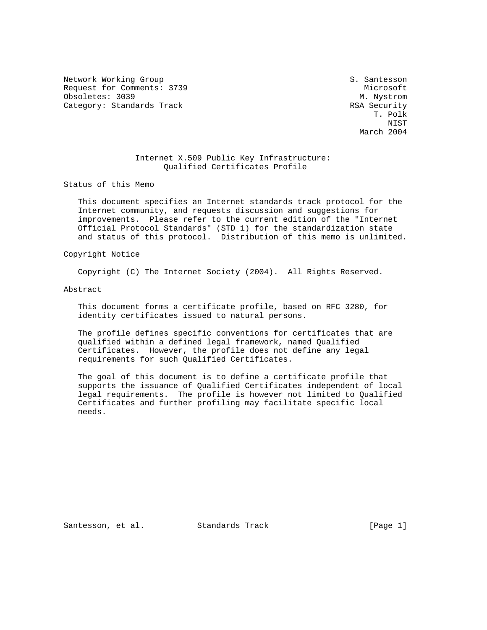Network Working Group S. Santesson Request for Comments: 3739 Microsoft Obsoletes: 3039 M. Nystrom Category: Standards Track RSA Security RSA Security RSA Security

 T. Polk NIST March 2004

## Internet X.509 Public Key Infrastructure: Qualified Certificates Profile

Status of this Memo

 This document specifies an Internet standards track protocol for the Internet community, and requests discussion and suggestions for improvements. Please refer to the current edition of the "Internet Official Protocol Standards" (STD 1) for the standardization state and status of this protocol. Distribution of this memo is unlimited.

Copyright Notice

Copyright (C) The Internet Society (2004). All Rights Reserved.

Abstract

 This document forms a certificate profile, based on RFC 3280, for identity certificates issued to natural persons.

 The profile defines specific conventions for certificates that are qualified within a defined legal framework, named Qualified Certificates. However, the profile does not define any legal requirements for such Qualified Certificates.

 The goal of this document is to define a certificate profile that supports the issuance of Qualified Certificates independent of local legal requirements. The profile is however not limited to Qualified Certificates and further profiling may facilitate specific local needs.

Santesson, et al. Standards Track [Page 1]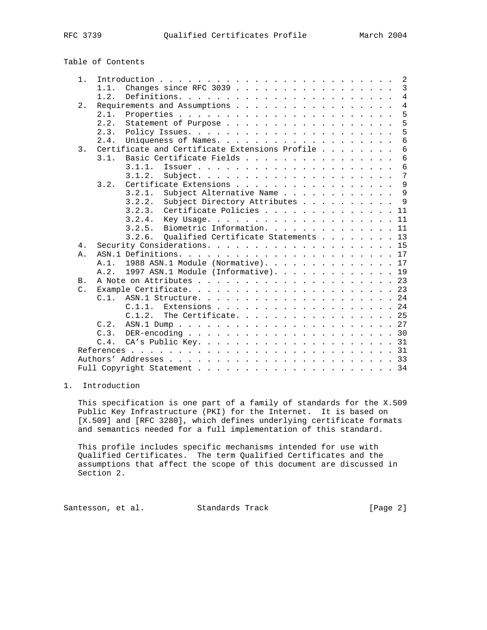# Table of Contents

| 1.1.<br>1.2.<br>Requirements and Assumptions<br>$2$ .<br>2.1.<br>2.2.<br>Statement of Purpose<br>2.3.<br>Uniqueness of Names.<br>2.4.<br>Certificate and Certificate Extensions Profile<br>$\overline{3}$ .<br>Basic Certificate Fields<br>3.1.<br>3.1.1.<br>3.1.2.<br>Certificate Extensions<br>3.2.<br>3.2.1.<br>3.2.2.<br>Certificate Policies 11<br>3.2.3.<br>3.2.4.<br>Biometric Information. 11<br>3.2.5.<br>3.2.6.<br>4.<br>Α.<br>A. 1.<br>A.2.<br>B <sub>1</sub><br>$C$ .<br>C.1.1.<br>The Certificate.<br>C.1.2.<br>C.2.<br>C.3.<br>$C.4$ .<br>References. | $1$ . |                                     | -2              |
|---------------------------------------------------------------------------------------------------------------------------------------------------------------------------------------------------------------------------------------------------------------------------------------------------------------------------------------------------------------------------------------------------------------------------------------------------------------------------------------------------------------------------------------------------------------------|-------|-------------------------------------|-----------------|
|                                                                                                                                                                                                                                                                                                                                                                                                                                                                                                                                                                     |       | Changes since RFC 3039              | $\mathbf{3}$    |
|                                                                                                                                                                                                                                                                                                                                                                                                                                                                                                                                                                     |       |                                     | $\overline{4}$  |
|                                                                                                                                                                                                                                                                                                                                                                                                                                                                                                                                                                     |       |                                     | $\overline{4}$  |
|                                                                                                                                                                                                                                                                                                                                                                                                                                                                                                                                                                     |       |                                     | 5               |
|                                                                                                                                                                                                                                                                                                                                                                                                                                                                                                                                                                     |       |                                     | 5               |
|                                                                                                                                                                                                                                                                                                                                                                                                                                                                                                                                                                     |       |                                     | 5               |
|                                                                                                                                                                                                                                                                                                                                                                                                                                                                                                                                                                     |       |                                     | $\overline{6}$  |
|                                                                                                                                                                                                                                                                                                                                                                                                                                                                                                                                                                     |       |                                     | $\overline{6}$  |
|                                                                                                                                                                                                                                                                                                                                                                                                                                                                                                                                                                     |       |                                     | 6               |
|                                                                                                                                                                                                                                                                                                                                                                                                                                                                                                                                                                     |       |                                     | $\overline{6}$  |
|                                                                                                                                                                                                                                                                                                                                                                                                                                                                                                                                                                     |       |                                     | $7\phantom{.0}$ |
|                                                                                                                                                                                                                                                                                                                                                                                                                                                                                                                                                                     |       |                                     | $\overline{9}$  |
|                                                                                                                                                                                                                                                                                                                                                                                                                                                                                                                                                                     |       | Subject Alternative Name            | 9               |
|                                                                                                                                                                                                                                                                                                                                                                                                                                                                                                                                                                     |       | Subject Directory Attributes        | 9               |
|                                                                                                                                                                                                                                                                                                                                                                                                                                                                                                                                                                     |       |                                     |                 |
|                                                                                                                                                                                                                                                                                                                                                                                                                                                                                                                                                                     |       |                                     | 11              |
|                                                                                                                                                                                                                                                                                                                                                                                                                                                                                                                                                                     |       |                                     |                 |
|                                                                                                                                                                                                                                                                                                                                                                                                                                                                                                                                                                     |       | Qualified Certificate Statements 13 |                 |
|                                                                                                                                                                                                                                                                                                                                                                                                                                                                                                                                                                     |       |                                     |                 |
|                                                                                                                                                                                                                                                                                                                                                                                                                                                                                                                                                                     |       |                                     |                 |
|                                                                                                                                                                                                                                                                                                                                                                                                                                                                                                                                                                     |       | 1988 ASN.1 Module (Normative). 17   |                 |
|                                                                                                                                                                                                                                                                                                                                                                                                                                                                                                                                                                     |       | 1997 ASN.1 Module (Informative). 19 |                 |
|                                                                                                                                                                                                                                                                                                                                                                                                                                                                                                                                                                     |       |                                     |                 |
|                                                                                                                                                                                                                                                                                                                                                                                                                                                                                                                                                                     |       |                                     |                 |
|                                                                                                                                                                                                                                                                                                                                                                                                                                                                                                                                                                     |       |                                     |                 |
|                                                                                                                                                                                                                                                                                                                                                                                                                                                                                                                                                                     |       |                                     | 24              |
|                                                                                                                                                                                                                                                                                                                                                                                                                                                                                                                                                                     |       |                                     | 25              |
|                                                                                                                                                                                                                                                                                                                                                                                                                                                                                                                                                                     |       |                                     |                 |
|                                                                                                                                                                                                                                                                                                                                                                                                                                                                                                                                                                     |       |                                     |                 |
|                                                                                                                                                                                                                                                                                                                                                                                                                                                                                                                                                                     |       |                                     |                 |
|                                                                                                                                                                                                                                                                                                                                                                                                                                                                                                                                                                     |       |                                     |                 |
|                                                                                                                                                                                                                                                                                                                                                                                                                                                                                                                                                                     |       |                                     |                 |
|                                                                                                                                                                                                                                                                                                                                                                                                                                                                                                                                                                     |       |                                     |                 |

# 1. Introduction

 This specification is one part of a family of standards for the X.509 Public Key Infrastructure (PKI) for the Internet. It is based on [X.509] and [RFC 3280], which defines underlying certificate formats and semantics needed for a full implementation of this standard.

 This profile includes specific mechanisms intended for use with Qualified Certificates. The term Qualified Certificates and the assumptions that affect the scope of this document are discussed in Section 2.

Santesson, et al. Standards Track [Page 2]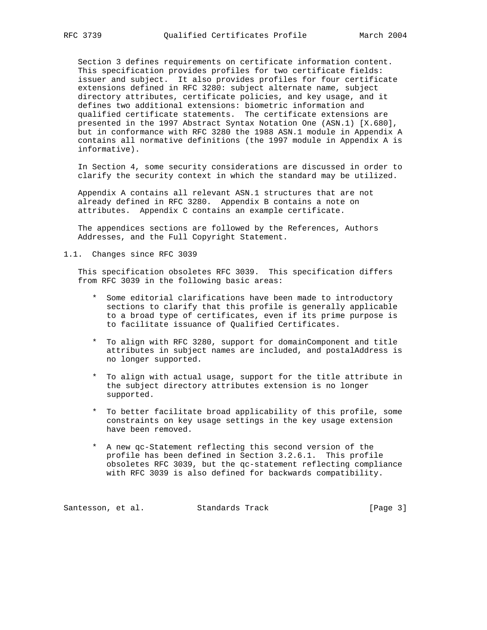Section 3 defines requirements on certificate information content. This specification provides profiles for two certificate fields: issuer and subject. It also provides profiles for four certificate extensions defined in RFC 3280: subject alternate name, subject directory attributes, certificate policies, and key usage, and it defines two additional extensions: biometric information and qualified certificate statements. The certificate extensions are presented in the 1997 Abstract Syntax Notation One (ASN.1) [X.680], but in conformance with RFC 3280 the 1988 ASN.1 module in Appendix A contains all normative definitions (the 1997 module in Appendix A is informative).

 In Section 4, some security considerations are discussed in order to clarify the security context in which the standard may be utilized.

 Appendix A contains all relevant ASN.1 structures that are not already defined in RFC 3280. Appendix B contains a note on attributes. Appendix C contains an example certificate.

 The appendices sections are followed by the References, Authors Addresses, and the Full Copyright Statement.

1.1. Changes since RFC 3039

 This specification obsoletes RFC 3039. This specification differs from RFC 3039 in the following basic areas:

- \* Some editorial clarifications have been made to introductory sections to clarify that this profile is generally applicable to a broad type of certificates, even if its prime purpose is to facilitate issuance of Qualified Certificates.
- \* To align with RFC 3280, support for domainComponent and title attributes in subject names are included, and postalAddress is no longer supported.
- \* To align with actual usage, support for the title attribute in the subject directory attributes extension is no longer supported.
- \* To better facilitate broad applicability of this profile, some constraints on key usage settings in the key usage extension have been removed.
- \* A new qc-Statement reflecting this second version of the profile has been defined in Section 3.2.6.1. This profile obsoletes RFC 3039, but the qc-statement reflecting compliance with RFC 3039 is also defined for backwards compatibility.

Santesson, et al. Standards Track [Page 3]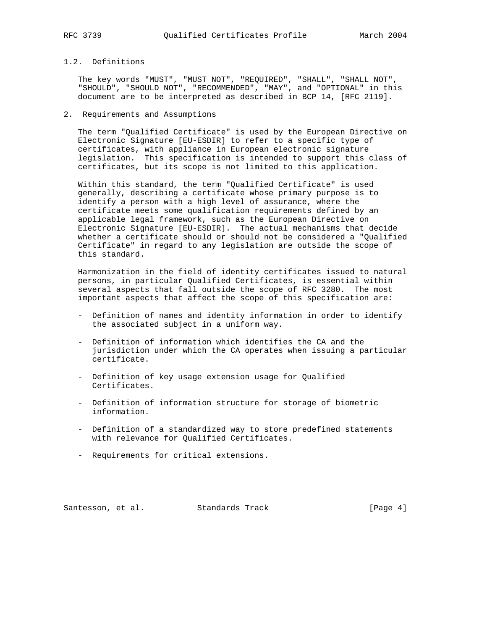## 1.2. Definitions

 The key words "MUST", "MUST NOT", "REQUIRED", "SHALL", "SHALL NOT", "SHOULD", "SHOULD NOT", "RECOMMENDED", "MAY", and "OPTIONAL" in this document are to be interpreted as described in BCP 14, [RFC 2119].

## 2. Requirements and Assumptions

 The term "Qualified Certificate" is used by the European Directive on Electronic Signature [EU-ESDIR] to refer to a specific type of certificates, with appliance in European electronic signature legislation. This specification is intended to support this class of certificates, but its scope is not limited to this application.

 Within this standard, the term "Qualified Certificate" is used generally, describing a certificate whose primary purpose is to identify a person with a high level of assurance, where the certificate meets some qualification requirements defined by an applicable legal framework, such as the European Directive on Electronic Signature [EU-ESDIR]. The actual mechanisms that decide whether a certificate should or should not be considered a "Qualified Certificate" in regard to any legislation are outside the scope of this standard.

 Harmonization in the field of identity certificates issued to natural persons, in particular Qualified Certificates, is essential within several aspects that fall outside the scope of RFC 3280. The most important aspects that affect the scope of this specification are:

- Definition of names and identity information in order to identify the associated subject in a uniform way.
- Definition of information which identifies the CA and the jurisdiction under which the CA operates when issuing a particular certificate.
- Definition of key usage extension usage for Qualified Certificates.
- Definition of information structure for storage of biometric information.
- Definition of a standardized way to store predefined statements with relevance for Qualified Certificates.
- Requirements for critical extensions.

Santesson, et al. Standards Track [Page 4]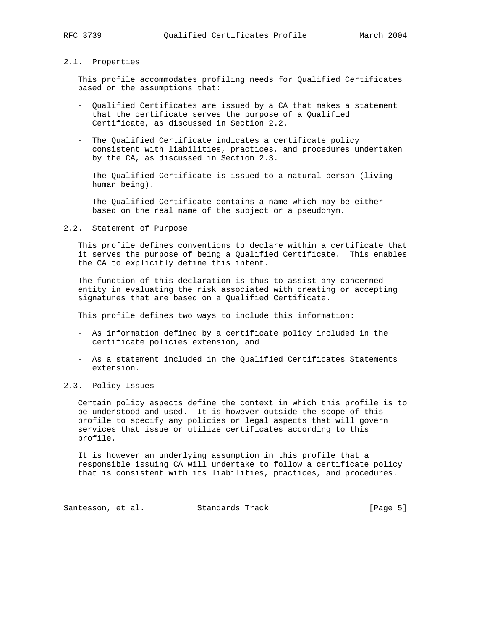## 2.1. Properties

 This profile accommodates profiling needs for Qualified Certificates based on the assumptions that:

- Qualified Certificates are issued by a CA that makes a statement that the certificate serves the purpose of a Qualified Certificate, as discussed in Section 2.2.
- The Qualified Certificate indicates a certificate policy consistent with liabilities, practices, and procedures undertaken by the CA, as discussed in Section 2.3.
- The Qualified Certificate is issued to a natural person (living human being).
- The Qualified Certificate contains a name which may be either based on the real name of the subject or a pseudonym.
- 2.2. Statement of Purpose

 This profile defines conventions to declare within a certificate that it serves the purpose of being a Qualified Certificate. This enables the CA to explicitly define this intent.

 The function of this declaration is thus to assist any concerned entity in evaluating the risk associated with creating or accepting signatures that are based on a Qualified Certificate.

This profile defines two ways to include this information:

- As information defined by a certificate policy included in the certificate policies extension, and
- As a statement included in the Qualified Certificates Statements extension.
- 2.3. Policy Issues

 Certain policy aspects define the context in which this profile is to be understood and used. It is however outside the scope of this profile to specify any policies or legal aspects that will govern services that issue or utilize certificates according to this profile.

 It is however an underlying assumption in this profile that a responsible issuing CA will undertake to follow a certificate policy that is consistent with its liabilities, practices, and procedures.

Santesson, et al. Standards Track [Page 5]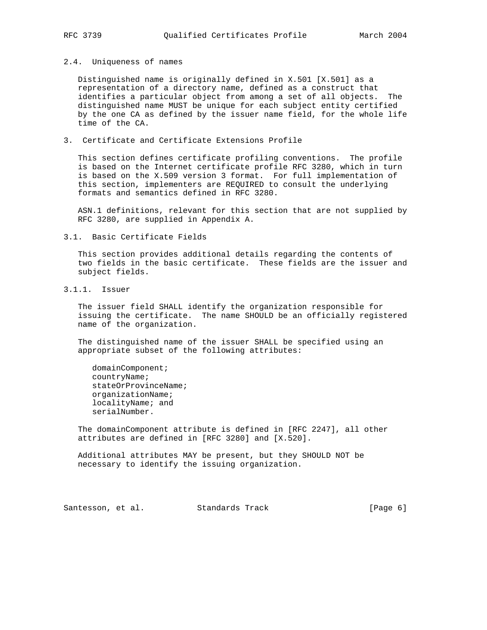#### 2.4. Uniqueness of names

 Distinguished name is originally defined in X.501 [X.501] as a representation of a directory name, defined as a construct that identifies a particular object from among a set of all objects. The distinguished name MUST be unique for each subject entity certified by the one CA as defined by the issuer name field, for the whole life time of the CA.

## 3. Certificate and Certificate Extensions Profile

 This section defines certificate profiling conventions. The profile is based on the Internet certificate profile RFC 3280, which in turn is based on the X.509 version 3 format. For full implementation of this section, implementers are REQUIRED to consult the underlying formats and semantics defined in RFC 3280.

 ASN.1 definitions, relevant for this section that are not supplied by RFC 3280, are supplied in Appendix A.

3.1. Basic Certificate Fields

 This section provides additional details regarding the contents of two fields in the basic certificate. These fields are the issuer and subject fields.

3.1.1. Issuer

 The issuer field SHALL identify the organization responsible for issuing the certificate. The name SHOULD be an officially registered name of the organization.

 The distinguished name of the issuer SHALL be specified using an appropriate subset of the following attributes:

 domainComponent; countryName; stateOrProvinceName; organizationName; localityName; and serialNumber.

 The domainComponent attribute is defined in [RFC 2247], all other attributes are defined in [RFC 3280] and [X.520].

 Additional attributes MAY be present, but they SHOULD NOT be necessary to identify the issuing organization.

Santesson, et al. Standards Track [Page 6]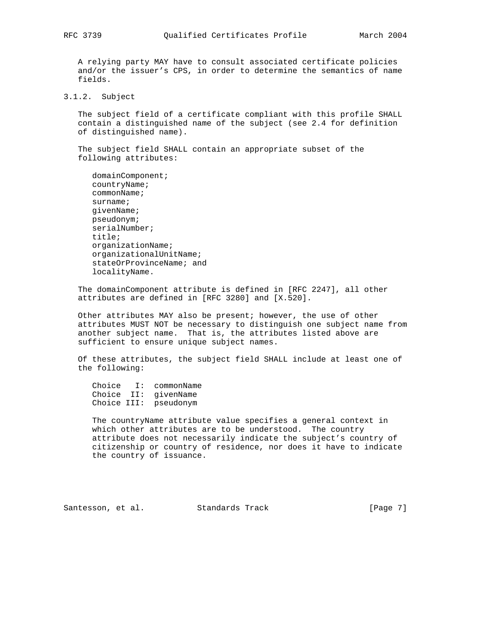A relying party MAY have to consult associated certificate policies and/or the issuer's CPS, in order to determine the semantics of name fields.

## 3.1.2. Subject

 The subject field of a certificate compliant with this profile SHALL contain a distinguished name of the subject (see 2.4 for definition of distinguished name).

 The subject field SHALL contain an appropriate subset of the following attributes:

 domainComponent; countryName; commonName; surname; givenName; pseudonym; serialNumber; title; organizationName; organizationalUnitName; stateOrProvinceName; and localityName.

 The domainComponent attribute is defined in [RFC 2247], all other attributes are defined in [RFC 3280] and [X.520].

 Other attributes MAY also be present; however, the use of other attributes MUST NOT be necessary to distinguish one subject name from another subject name. That is, the attributes listed above are sufficient to ensure unique subject names.

 Of these attributes, the subject field SHALL include at least one of the following:

 Choice I: commonName Choice II: givenName Choice III: pseudonym

> The countryName attribute value specifies a general context in which other attributes are to be understood. The country attribute does not necessarily indicate the subject's country of citizenship or country of residence, nor does it have to indicate the country of issuance.

Santesson, et al. Standards Track [Page 7]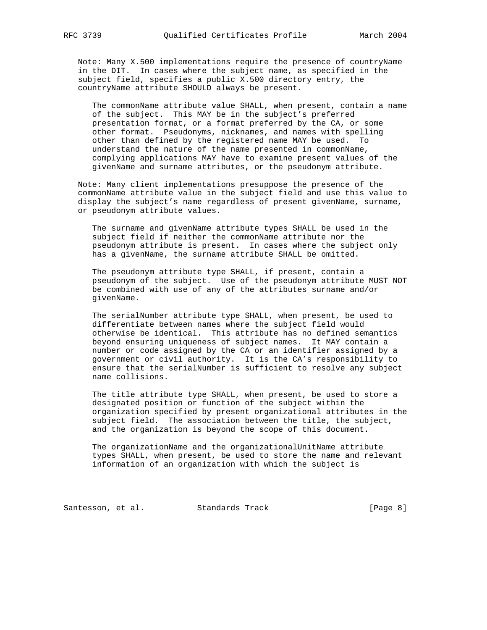Note: Many X.500 implementations require the presence of countryName in the DIT. In cases where the subject name, as specified in the subject field, specifies a public X.500 directory entry, the countryName attribute SHOULD always be present.

 The commonName attribute value SHALL, when present, contain a name of the subject. This MAY be in the subject's preferred presentation format, or a format preferred by the CA, or some other format. Pseudonyms, nicknames, and names with spelling other than defined by the registered name MAY be used. To understand the nature of the name presented in commonName, complying applications MAY have to examine present values of the givenName and surname attributes, or the pseudonym attribute.

 Note: Many client implementations presuppose the presence of the commonName attribute value in the subject field and use this value to display the subject's name regardless of present givenName, surname, or pseudonym attribute values.

 The surname and givenName attribute types SHALL be used in the subject field if neither the commonName attribute nor the pseudonym attribute is present. In cases where the subject only has a givenName, the surname attribute SHALL be omitted.

 The pseudonym attribute type SHALL, if present, contain a pseudonym of the subject. Use of the pseudonym attribute MUST NOT be combined with use of any of the attributes surname and/or givenName.

 The serialNumber attribute type SHALL, when present, be used to differentiate between names where the subject field would otherwise be identical. This attribute has no defined semantics beyond ensuring uniqueness of subject names. It MAY contain a number or code assigned by the CA or an identifier assigned by a government or civil authority. It is the CA's responsibility to ensure that the serialNumber is sufficient to resolve any subject name collisions.

 The title attribute type SHALL, when present, be used to store a designated position or function of the subject within the organization specified by present organizational attributes in the subject field. The association between the title, the subject, and the organization is beyond the scope of this document.

 The organizationName and the organizationalUnitName attribute types SHALL, when present, be used to store the name and relevant information of an organization with which the subject is

Santesson, et al. Standards Track [Page 8]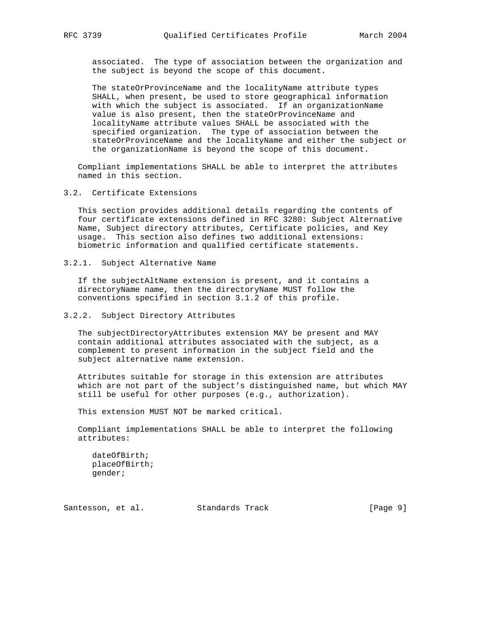associated. The type of association between the organization and the subject is beyond the scope of this document.

 The stateOrProvinceName and the localityName attribute types SHALL, when present, be used to store geographical information with which the subject is associated. If an organizationName value is also present, then the stateOrProvinceName and localityName attribute values SHALL be associated with the specified organization. The type of association between the stateOrProvinceName and the localityName and either the subject or the organizationName is beyond the scope of this document.

 Compliant implementations SHALL be able to interpret the attributes named in this section.

3.2. Certificate Extensions

 This section provides additional details regarding the contents of four certificate extensions defined in RFC 3280: Subject Alternative Name, Subject directory attributes, Certificate policies, and Key usage. This section also defines two additional extensions: biometric information and qualified certificate statements.

3.2.1. Subject Alternative Name

 If the subjectAltName extension is present, and it contains a directoryName name, then the directoryName MUST follow the conventions specified in section 3.1.2 of this profile.

## 3.2.2. Subject Directory Attributes

 The subjectDirectoryAttributes extension MAY be present and MAY contain additional attributes associated with the subject, as a complement to present information in the subject field and the subject alternative name extension.

 Attributes suitable for storage in this extension are attributes which are not part of the subject's distinguished name, but which MAY still be useful for other purposes (e.g., authorization).

This extension MUST NOT be marked critical.

 Compliant implementations SHALL be able to interpret the following attributes:

 dateOfBirth; placeOfBirth; gender;

Santesson, et al. Standards Track [Page 9]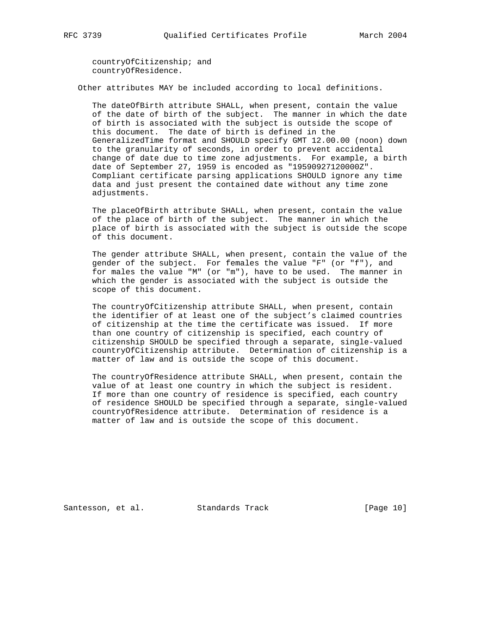countryOfCitizenship; and countryOfResidence.

Other attributes MAY be included according to local definitions.

 The dateOfBirth attribute SHALL, when present, contain the value of the date of birth of the subject. The manner in which the date of birth is associated with the subject is outside the scope of this document. The date of birth is defined in the GeneralizedTime format and SHOULD specify GMT 12.00.00 (noon) down to the granularity of seconds, in order to prevent accidental change of date due to time zone adjustments. For example, a birth date of September 27, 1959 is encoded as "19590927120000Z". Compliant certificate parsing applications SHOULD ignore any time data and just present the contained date without any time zone adjustments.

 The placeOfBirth attribute SHALL, when present, contain the value of the place of birth of the subject. The manner in which the place of birth is associated with the subject is outside the scope of this document.

 The gender attribute SHALL, when present, contain the value of the gender of the subject. For females the value "F" (or "f"), and for males the value "M" (or "m"), have to be used. The manner in which the gender is associated with the subject is outside the scope of this document.

 The countryOfCitizenship attribute SHALL, when present, contain the identifier of at least one of the subject's claimed countries of citizenship at the time the certificate was issued. If more than one country of citizenship is specified, each country of citizenship SHOULD be specified through a separate, single-valued countryOfCitizenship attribute. Determination of citizenship is a matter of law and is outside the scope of this document.

 The countryOfResidence attribute SHALL, when present, contain the value of at least one country in which the subject is resident. If more than one country of residence is specified, each country of residence SHOULD be specified through a separate, single-valued countryOfResidence attribute. Determination of residence is a matter of law and is outside the scope of this document.

Santesson, et al. Standards Track [Page 10]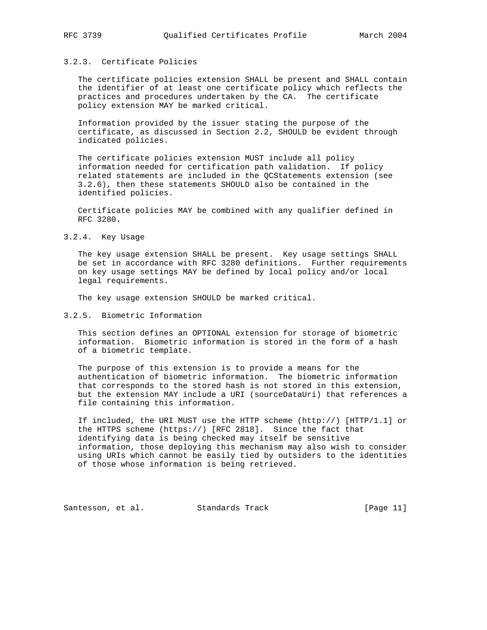## 3.2.3. Certificate Policies

 The certificate policies extension SHALL be present and SHALL contain the identifier of at least one certificate policy which reflects the practices and procedures undertaken by the CA. The certificate policy extension MAY be marked critical.

 Information provided by the issuer stating the purpose of the certificate, as discussed in Section 2.2, SHOULD be evident through indicated policies.

 The certificate policies extension MUST include all policy information needed for certification path validation. If policy related statements are included in the QCStatements extension (see 3.2.6), then these statements SHOULD also be contained in the identified policies.

 Certificate policies MAY be combined with any qualifier defined in RFC 3280.

### 3.2.4. Key Usage

 The key usage extension SHALL be present. Key usage settings SHALL be set in accordance with RFC 3280 definitions. Further requirements on key usage settings MAY be defined by local policy and/or local legal requirements.

The key usage extension SHOULD be marked critical.

## 3.2.5. Biometric Information

 This section defines an OPTIONAL extension for storage of biometric information. Biometric information is stored in the form of a hash of a biometric template.

 The purpose of this extension is to provide a means for the authentication of biometric information. The biometric information that corresponds to the stored hash is not stored in this extension, but the extension MAY include a URI (sourceDataUri) that references a file containing this information.

 If included, the URI MUST use the HTTP scheme (http://) [HTTP/1.1] or the HTTPS scheme (https://) [RFC 2818]. Since the fact that identifying data is being checked may itself be sensitive information, those deploying this mechanism may also wish to consider using URIs which cannot be easily tied by outsiders to the identities of those whose information is being retrieved.

Santesson, et al. Standards Track [Page 11]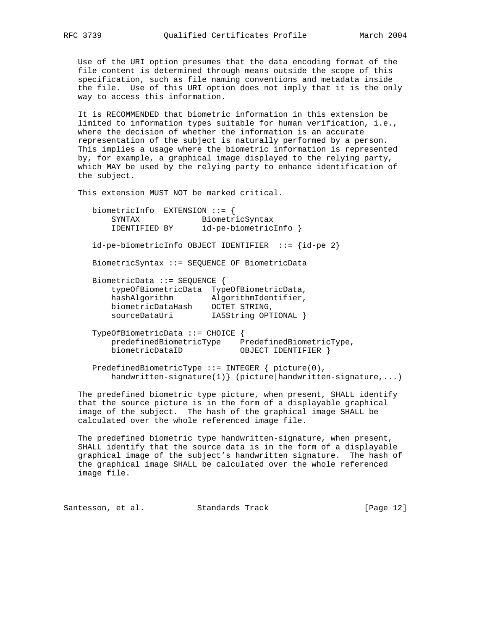Use of the URI option presumes that the data encoding format of the file content is determined through means outside the scope of this specification, such as file naming conventions and metadata inside the file. Use of this URI option does not imply that it is the only way to access this information.

 It is RECOMMENDED that biometric information in this extension be limited to information types suitable for human verification, i.e., where the decision of whether the information is an accurate representation of the subject is naturally performed by a person. This implies a usage where the biometric information is represented by, for example, a graphical image displayed to the relying party, which MAY be used by the relying party to enhance identification of the subject.

This extension MUST NOT be marked critical.

| biometricInfo EXTENSION ::=<br>SYNTAX<br>IDENTIFIED BY                                             | BiometricSyntax<br>id-pe-biometricInfo }                                                 |
|----------------------------------------------------------------------------------------------------|------------------------------------------------------------------------------------------|
|                                                                                                    | $id-pe-biometricInfo OBJECT IDENTIFYER :: = \{id-pe 2\}$                                 |
| BiometricSyntax ::= SEQUENCE OF BiometricData                                                      |                                                                                          |
| $BiometricData :: = SEOUENCE$<br>hashAlgorithm<br>biometricDataHash OCTET STRING,<br>sourceDataUri | typeOfBiometricData TypeOfBiometricData,<br>AlgorithmIdentifier,<br>IA5String OPTIONAL } |
| TypeOfBiometricData ::= CHOICE<br>predefinedBiometricType<br>biometricDataID                       | PredefinedBiometricType,<br>OBJECT IDENTIFIER                                            |

PredefinedBiometricType ::= INTEGER  $\{$  picture(0), handwritten-signature(1)} (picture|handwritten-signature,...)

 The predefined biometric type picture, when present, SHALL identify that the source picture is in the form of a displayable graphical image of the subject. The hash of the graphical image SHALL be calculated over the whole referenced image file.

 The predefined biometric type handwritten-signature, when present, SHALL identify that the source data is in the form of a displayable graphical image of the subject's handwritten signature. The hash of the graphical image SHALL be calculated over the whole referenced image file.

Santesson, et al. Standards Track [Page 12]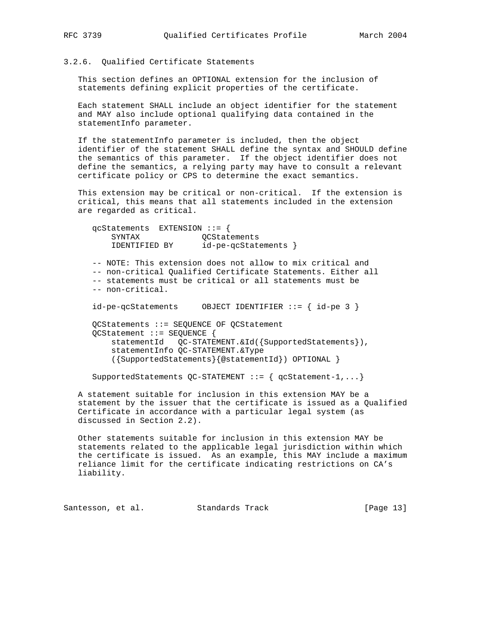## 3.2.6. Qualified Certificate Statements

 This section defines an OPTIONAL extension for the inclusion of statements defining explicit properties of the certificate.

 Each statement SHALL include an object identifier for the statement and MAY also include optional qualifying data contained in the statementInfo parameter.

 If the statementInfo parameter is included, then the object identifier of the statement SHALL define the syntax and SHOULD define the semantics of this parameter. If the object identifier does not define the semantics, a relying party may have to consult a relevant certificate policy or CPS to determine the exact semantics.

 This extension may be critical or non-critical. If the extension is critical, this means that all statements included in the extension are regarded as critical.

| $qcStatements$ EXTENSION ::=                                                                                                                                                                               |  |  |  |
|------------------------------------------------------------------------------------------------------------------------------------------------------------------------------------------------------------|--|--|--|
| SYNTAX<br>OCStatements                                                                                                                                                                                     |  |  |  |
| $id-pe-qcStatements$ }<br>IDENTIFIED BY                                                                                                                                                                    |  |  |  |
| -- NOTE: This extension does not allow to mix critical and<br>-- non-critical Oualified Certificate Statements. Either all<br>-- statements must be critical or all statements must be<br>-- non-critical. |  |  |  |
| $id-pe-qcStatements$ OBJECT IDENTIFIER ::= { $id-pe 3$ }                                                                                                                                                   |  |  |  |
| $QCStatements$ ::= SEQUENCE OF QCStatement                                                                                                                                                                 |  |  |  |
| OCStatement ::= SEOUENCE {                                                                                                                                                                                 |  |  |  |
| $statementId$ QC-STATEMENT. $kId$ ( $\{SupportedStates\}$ ),<br>statementInfo QC-STATEMENT. &Type                                                                                                          |  |  |  |
| $({\{SupportedStatements\}}$ ${\emptyset}$ statementId} ) OPTIONAL }                                                                                                                                       |  |  |  |
| SupportedStatements QC-STATEMENT ::= { $qcStatement-1, $ }                                                                                                                                                 |  |  |  |

 A statement suitable for inclusion in this extension MAY be a statement by the issuer that the certificate is issued as a Qualified Certificate in accordance with a particular legal system (as discussed in Section 2.2).

 Other statements suitable for inclusion in this extension MAY be statements related to the applicable legal jurisdiction within which the certificate is issued. As an example, this MAY include a maximum reliance limit for the certificate indicating restrictions on CA's liability.

Santesson, et al. Standards Track [Page 13]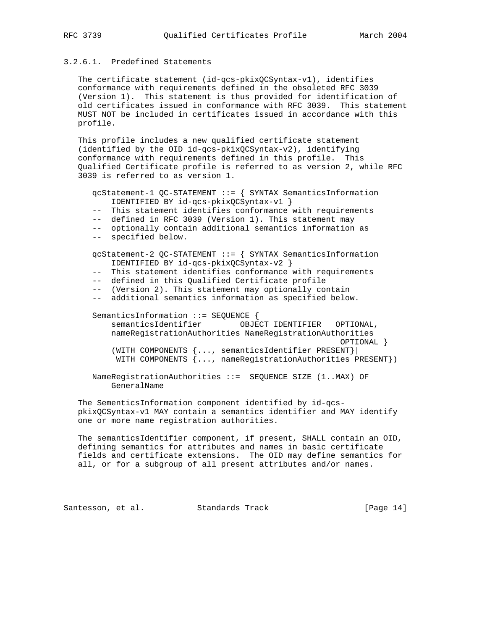# 3.2.6.1. Predefined Statements

 The certificate statement (id-qcs-pkixQCSyntax-v1), identifies conformance with requirements defined in the obsoleted RFC 3039 (Version 1). This statement is thus provided for identification of old certificates issued in conformance with RFC 3039. This statement MUST NOT be included in certificates issued in accordance with this profile.

 This profile includes a new qualified certificate statement (identified by the OID id-qcs-pkixQCSyntax-v2), identifying conformance with requirements defined in this profile. This Qualified Certificate profile is referred to as version 2, while RFC 3039 is referred to as version 1.

 qcStatement-1 QC-STATEMENT ::= { SYNTAX SemanticsInformation IDENTIFIED BY id-qcs-pkixQCSyntax-v1 }

- -- This statement identifies conformance with requirements
- -- defined in RFC 3039 (Version 1). This statement may
- -- optionally contain additional semantics information as -- specified below.

 qcStatement-2 QC-STATEMENT ::= { SYNTAX SemanticsInformation IDENTIFIED BY id-qcs-pkixQCSyntax-v2 }

- -- This statement identifies conformance with requirements
- -- defined in this Qualified Certificate profile
- -- (Version 2). This statement may optionally contain
- -- additional semantics information as specified below.

SemanticsInformation ::= SEQUENCE { semanticsIdentifier OBJECT IDENTIFIER OPTIONAL, nameRegistrationAuthorities NameRegistrationAuthorities OPTIONAL } (WITH COMPONENTS {..., semanticsIdentifier PRESENT}| WITH COMPONENTS {..., nameRegistrationAuthorities PRESENT})

 NameRegistrationAuthorities ::= SEQUENCE SIZE (1..MAX) OF GeneralName

 The SementicsInformation component identified by id-qcs pkixQCSyntax-v1 MAY contain a semantics identifier and MAY identify one or more name registration authorities.

 The semanticsIdentifier component, if present, SHALL contain an OID, defining semantics for attributes and names in basic certificate fields and certificate extensions. The OID may define semantics for all, or for a subgroup of all present attributes and/or names.

Santesson, et al. Standards Track [Page 14]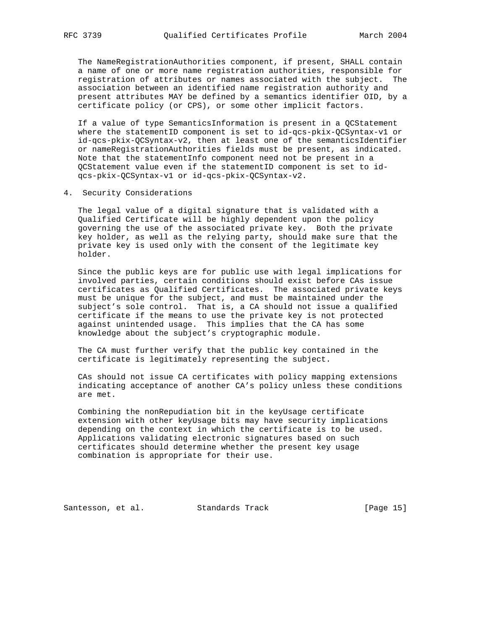The NameRegistrationAuthorities component, if present, SHALL contain a name of one or more name registration authorities, responsible for registration of attributes or names associated with the subject. The association between an identified name registration authority and present attributes MAY be defined by a semantics identifier OID, by a certificate policy (or CPS), or some other implicit factors.

 If a value of type SemanticsInformation is present in a QCStatement where the statementID component is set to id-qcs-pkix-QCSyntax-v1 or id-qcs-pkix-QCSyntax-v2, then at least one of the semanticsIdentifier or nameRegistrationAuthorities fields must be present, as indicated. Note that the statementInfo component need not be present in a QCStatement value even if the statementID component is set to id qcs-pkix-QCSyntax-v1 or id-qcs-pkix-QCSyntax-v2.

4. Security Considerations

 The legal value of a digital signature that is validated with a Qualified Certificate will be highly dependent upon the policy governing the use of the associated private key. Both the private key holder, as well as the relying party, should make sure that the private key is used only with the consent of the legitimate key holder.

 Since the public keys are for public use with legal implications for involved parties, certain conditions should exist before CAs issue certificates as Qualified Certificates. The associated private keys must be unique for the subject, and must be maintained under the subject's sole control. That is, a CA should not issue a qualified certificate if the means to use the private key is not protected against unintended usage. This implies that the CA has some knowledge about the subject's cryptographic module.

 The CA must further verify that the public key contained in the certificate is legitimately representing the subject.

 CAs should not issue CA certificates with policy mapping extensions indicating acceptance of another CA's policy unless these conditions are met.

 Combining the nonRepudiation bit in the keyUsage certificate extension with other keyUsage bits may have security implications depending on the context in which the certificate is to be used. Applications validating electronic signatures based on such certificates should determine whether the present key usage combination is appropriate for their use.

Santesson, et al. Standards Track [Page 15]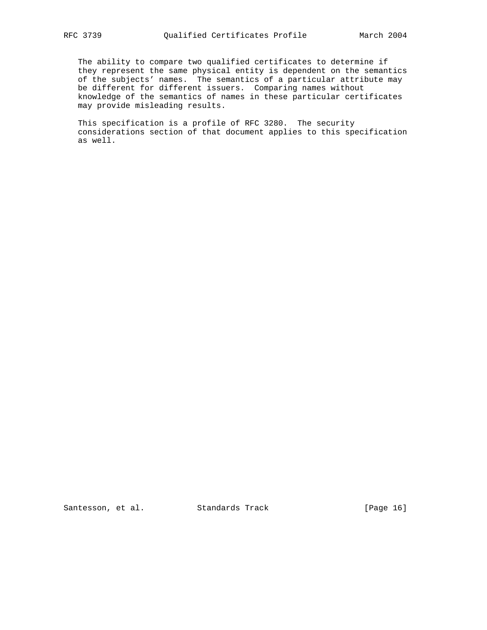The ability to compare two qualified certificates to determine if they represent the same physical entity is dependent on the semantics of the subjects' names. The semantics of a particular attribute may be different for different issuers. Comparing names without knowledge of the semantics of names in these particular certificates may provide misleading results.

 This specification is a profile of RFC 3280. The security considerations section of that document applies to this specification as well.

Santesson, et al. Standards Track [Page 16]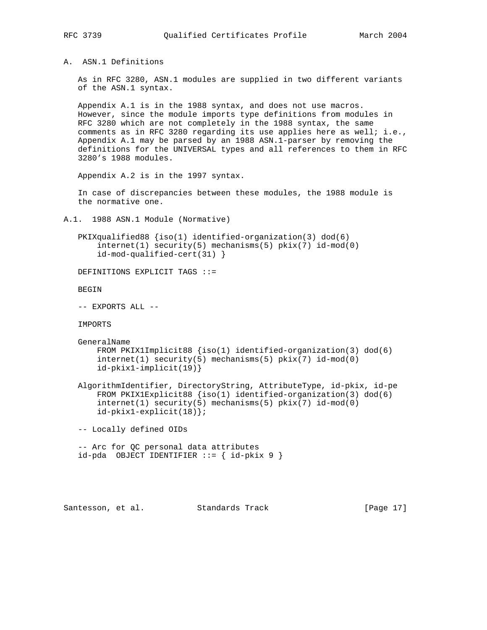```
A. ASN.1 Definitions
```
 As in RFC 3280, ASN.1 modules are supplied in two different variants of the ASN.1 syntax.

 Appendix A.1 is in the 1988 syntax, and does not use macros. However, since the module imports type definitions from modules in RFC 3280 which are not completely in the 1988 syntax, the same comments as in RFC 3280 regarding its use applies here as well; i.e., Appendix A.1 may be parsed by an 1988 ASN.1-parser by removing the definitions for the UNIVERSAL types and all references to them in RFC 3280's 1988 modules.

Appendix A.2 is in the 1997 syntax.

 In case of discrepancies between these modules, the 1988 module is the normative one.

```
A.1. 1988 ASN.1 Module (Normative)
```

```
 PKIXqualified88 {iso(1) identified-organization(3) dod(6)
     internet(1) security(5) mechanisms(5) pkix(7) id-mod(0)
     id-mod-qualified-cert(31) }
```

```
 DEFINITIONS EXPLICIT TAGS ::=
```
BEGIN

```
 -- EXPORTS ALL --
```
IMPORTS

```
 GeneralName
     FROM PKIX1Implicit88 {iso(1) identified-organization(3) dod(6)
     internet(1) security(5) mechanisms(5) pkix(7) id-mod(0)
     id-pkix1-implicit(19)}
```

```
 AlgorithmIdentifier, DirectoryString, AttributeType, id-pkix, id-pe
    FROM PKIX1Explicit88 {iso(1) identified-organization(3) dod(6)
     internet(1) security(5) mechanisms(5) pkix(7) id-mod(0)
     id-pkix1-explicit(18)};
```
-- Locally defined OIDs

```
 -- Arc for QC personal data attributes
id-pda OBJECT IDENTIFIER ::= { id-pkix 9 }
```

```
Santesson, et al. Standards Track [Page 17]
```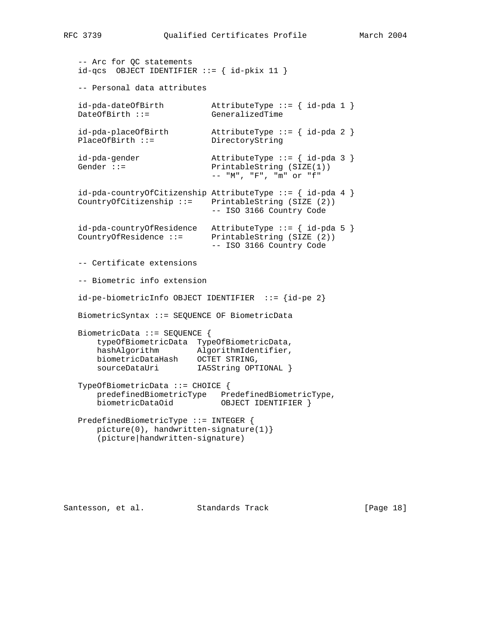-- Arc for QC statements  $id-qcs$  OBJECT IDENTIFIER ::= {  $id-pkix$  11 } -- Personal data attributes id-pda-dateOfBirth AttributeType ::= { id-pda 1 } DateOfBirth ::= GeneralizedTime id-pda-placeOfBirth AttributeType ::= { id-pda 2 } PlaceOfBirth ::= DirectoryString id-pda-gender AttributeType ::= { id-pda 3 } PrintableString (SIZE(1)) -- "M", "F", "m" or "f" id-pda-countryOfCitizenship AttributeType ::= { id-pda 4 } CountryOfCitizenship ::= PrintableString (SIZE (2)) -- ISO 3166 Country Code id-pda-countryOfResidence AttributeType ::= { id-pda 5 } CountryOfResidence ::= PrintableString (SIZE (2)) -- ISO 3166 Country Code -- Certificate extensions -- Biometric info extension  $id-pe-biometricInfo OBJECT IDENTIFYER ::= {id-pe 2}$  BiometricSyntax ::= SEQUENCE OF BiometricData BiometricData ::= SEQUENCE { typeOfBiometricData TypeOfBiometricData, hashAlgorithm AlgorithmIdentifier, biometricDataHash OCTET STRING, sourceDataUri IA5String OPTIONAL } TypeOfBiometricData ::= CHOICE { predefinedBiometricType PredefinedBiometricType, biometricDataOid OBJECT IDENTIFIER } PredefinedBiometricType ::= INTEGER { picture(0), handwritten-signature(1)} (picture|handwritten-signature)

Santesson, et al. Standards Track [Page 18]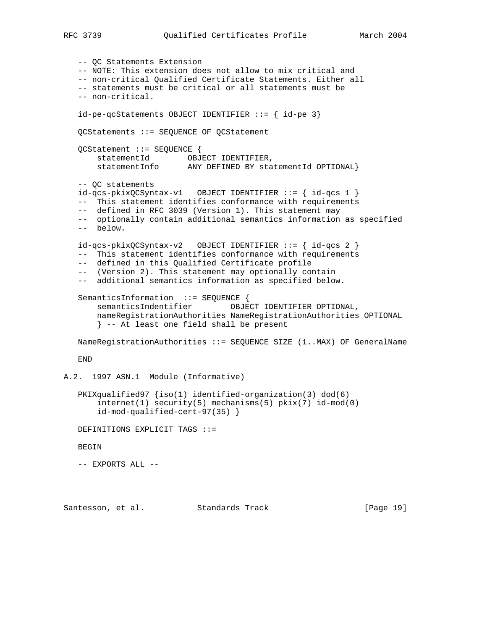```
 -- QC Statements Extension
    -- NOTE: This extension does not allow to mix critical and
    -- non-critical Qualified Certificate Statements. Either all
    -- statements must be critical or all statements must be
    -- non-critical.
    id-pe-qcStatements OBJECT IDENTIFIER ::= { id-pe 3}
    QCStatements ::= SEQUENCE OF QCStatement
    QCStatement ::= SEQUENCE {
 statementId OBJECT IDENTIFIER,
 statementInfo ANY DEFINED BY statementId OPTIONAL}
    -- QC statements
    id-qcs-pkixQCSyntax-v1 OBJECT IDENTIFIER ::= { id-qcs 1 }
    -- This statement identifies conformance with requirements
    -- defined in RFC 3039 (Version 1). This statement may
    -- optionally contain additional semantics information as specified
    -- below.
    id-qcs-pkixQCSyntax-v2 OBJECT IDENTIFIER ::= { id-qcs 2 }
    -- This statement identifies conformance with requirements
    -- defined in this Qualified Certificate profile
    -- (Version 2). This statement may optionally contain
    -- additional semantics information as specified below.
   SemanticsInformation ::= SEQUENCE {
      semanticsIndentifier OBJECT IDENTIFIER OPTIONAL,
       nameRegistrationAuthorities NameRegistrationAuthorities OPTIONAL
        } -- At least one field shall be present
   NameRegistrationAuthorities ::= SEQUENCE SIZE (1..MAX) OF GeneralName
   END
A.2. 1997 ASN.1 Module (Informative)
    PKIXqualified97 {iso(1) identified-organization(3) dod(6)
        internet(1) security(5) mechanisms(5) pkix(7) id-mod(0)
        id-mod-qualified-cert-97(35) }
   DEFINITIONS EXPLICIT TAGS ::=
   BEGIN
   -- EXPORTS ALL --
Santesson, et al. Standards Track [Page 19]
```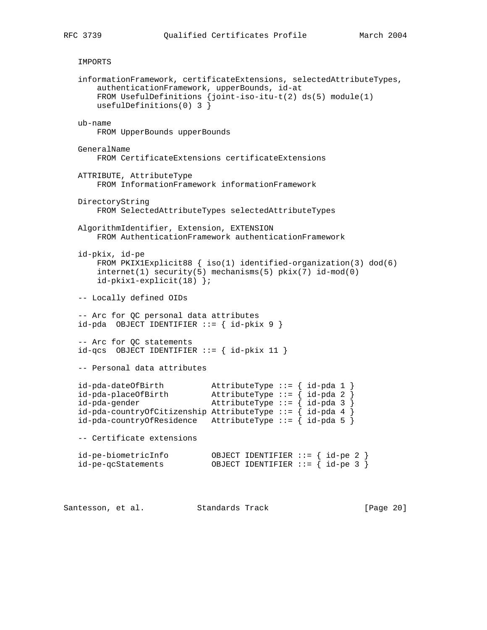IMPORTS

```
 informationFramework, certificateExtensions, selectedAttributeTypes,
       authenticationFramework, upperBounds, id-at
       FROM UsefulDefinitions {joint-iso-itu-t(2) ds(5) module(1)
       usefulDefinitions(0) 3 }
   ub-name
       FROM UpperBounds upperBounds
   GeneralName
       FROM CertificateExtensions certificateExtensions
   ATTRIBUTE, AttributeType
       FROM InformationFramework informationFramework
   DirectoryString
       FROM SelectedAttributeTypes selectedAttributeTypes
   AlgorithmIdentifier, Extension, EXTENSION
       FROM AuthenticationFramework authenticationFramework
   id-pkix, id-pe
       FROM PKIX1Explicit88 { iso(1) identified-organization(3) dod(6)
       internet(1) security(5) mechanisms(5) pkix(7) id-mod(0)
       id-pkix1-explicit(18) };
   -- Locally defined OIDs
   -- Arc for QC personal data attributes
  id-pda OBJECT IDENTIFIER ::= { id-pkix 9 }
   -- Arc for QC statements
  id-qcs OBJECT IDENTIFIER ::= { id-pkix 11 }
   -- Personal data attributes
 id-pda-dateOfBirth AttributeType ::= { id-pda 1 }
 id-pda-placeOfBirth AttributeType ::= { id-pda 2 }
 id-pda-gender AttributeType ::= { id-pda 3 }
   id-pda-countryOfCitizenship AttributeType ::= { id-pda 4 }
  id-pda-countryOfResidence AttributeType ::= \{ id-pda 5 \} -- Certificate extensions
 id-pe-biometricInfo OBJECT IDENTIFIER ::= { id-pe 2 }
 id-pe-qcStatements OBJECT IDENTIFIER ::= { id-pe 3 }
```
Santesson, et al. Standards Track [Page 20]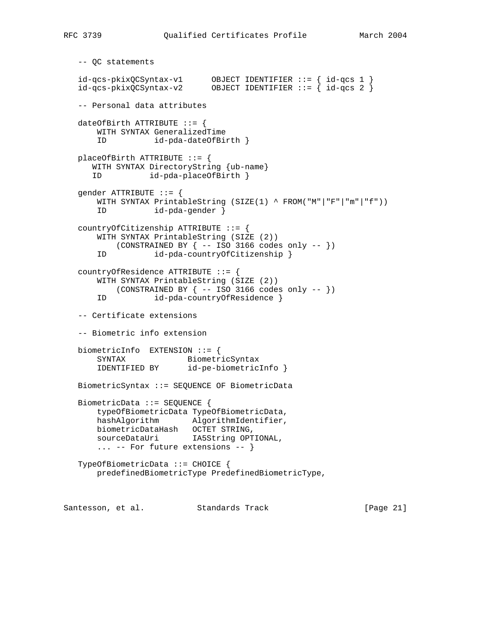```
 -- QC statements
 id-qcs-pkixQCSyntax-v1 OBJECT IDENTIFIER ::= { id-qcs 1 }
 id-qcs-pkixQCSyntax-v2 OBJECT IDENTIFIER ::= { id-qcs 2 }
   -- Personal data attributes
  dateOfBirth ATTRIBUTE ::= {
       WITH SYNTAX GeneralizedTime
       ID id-pda-dateOfBirth }
   placeOfBirth ATTRIBUTE ::= {
      WITH SYNTAX DirectoryString {ub-name}
      ID id-pda-placeOfBirth }
   gender ATTRIBUTE ::= {
       WITH SYNTAX PrintableString (SIZE(1) ^ FROM("M"|"F"|"m"|"f"))
       ID id-pda-gender }
   countryOfCitizenship ATTRIBUTE ::= {
       WITH SYNTAX PrintableString (SIZE (2))
      (CONSTRAINED BY \{ - - ISO 3166 codes only -- \})<br>ID id-pda-countryOfCitizenship \}id-pda-countryOfCitizenship }
   countryOfResidence ATTRIBUTE ::= {
       WITH SYNTAX PrintableString (SIZE (2))
          (CONSTRAINED BY \{- - ISO 3166 codes only - - \})
       ID id-pda-countryOfResidence }
   -- Certificate extensions
   -- Biometric info extension
   biometricInfo EXTENSION ::= {
       SYNTAX BiometricSyntax
       IDENTIFIED BY id-pe-biometricInfo }
   BiometricSyntax ::= SEQUENCE OF BiometricData
   BiometricData ::= SEQUENCE {
       typeOfBiometricData TypeOfBiometricData,
       hashAlgorithm AlgorithmIdentifier,
       biometricDataHash OCTET STRING,
       sourceDataUri IA5String OPTIONAL,
       ... -- For future extensions -- }
   TypeOfBiometricData ::= CHOICE {
       predefinedBiometricType PredefinedBiometricType,
```
Santesson, et al. Standards Track [Page 21]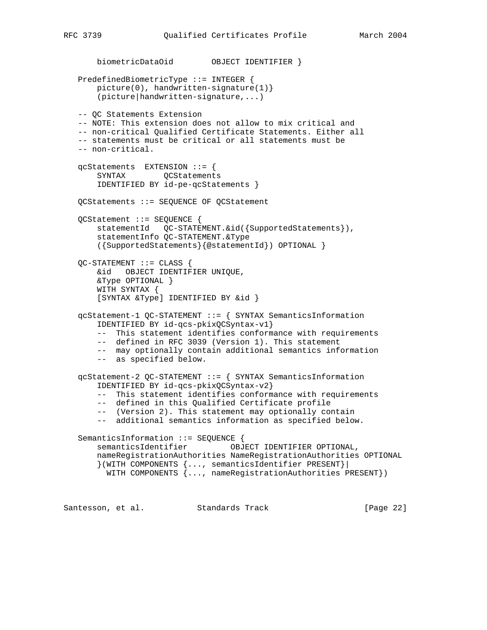```
 biometricDataOid OBJECT IDENTIFIER }
 PredefinedBiometricType ::= INTEGER {
    picture(0), handwritten-signature(1)}
    (picture|handwritten-signature,...)
 -- QC Statements Extension
 -- NOTE: This extension does not allow to mix critical and
 -- non-critical Qualified Certificate Statements. Either all
 -- statements must be critical or all statements must be
 -- non-critical.
 qcStatements EXTENSION ::= {
    SYNTAX QCStatements
     IDENTIFIED BY id-pe-qcStatements }
 QCStatements ::= SEQUENCE OF QCStatement
 QCStatement ::= SEQUENCE {
    statementId QC-STATEMENT.&id({SupportedStatements}),
     statementInfo QC-STATEMENT.&Type
     ({SupportedStatements}{@statementId}) OPTIONAL }
 QC-STATEMENT ::= CLASS {
    &id OBJECT IDENTIFIER UNIQUE,
     &Type OPTIONAL }
    WITH SYNTAX {
     [SYNTAX &Type] IDENTIFIED BY &id }
 qcStatement-1 QC-STATEMENT ::= { SYNTAX SemanticsInformation
     IDENTIFIED BY id-qcs-pkixQCSyntax-v1}
     -- This statement identifies conformance with requirements
     -- defined in RFC 3039 (Version 1). This statement
     -- may optionally contain additional semantics information
     -- as specified below.
 qcStatement-2 QC-STATEMENT ::= { SYNTAX SemanticsInformation
     IDENTIFIED BY id-qcs-pkixQCSyntax-v2}
     -- This statement identifies conformance with requirements
     -- defined in this Qualified Certificate profile
     -- (Version 2). This statement may optionally contain
     -- additional semantics information as specified below.
 SemanticsInformation ::= SEQUENCE {
    semanticsIdentifier OBJECT IDENTIFIER OPTIONAL,
    nameRegistrationAuthorities NameRegistrationAuthorities OPTIONAL
    }(WITH COMPONENTS {..., semanticsIdentifier PRESENT}|
      WITH COMPONENTS {..., nameRegistrationAuthorities PRESENT})
```
Santesson, et al. Standards Track [Page 22]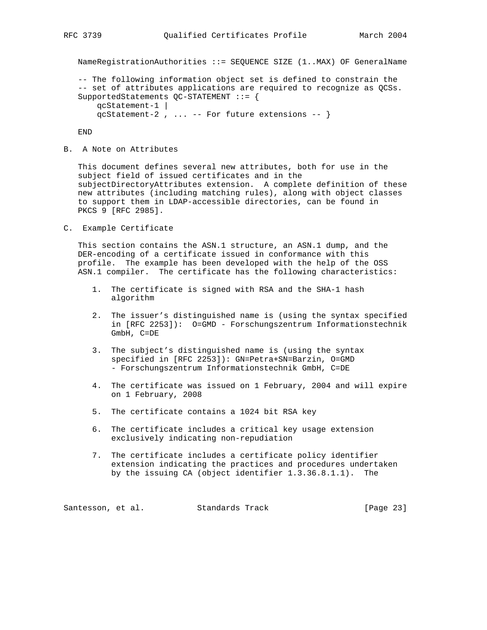NameRegistrationAuthorities ::= SEQUENCE SIZE (1..MAX) OF GeneralName

 -- The following information object set is defined to constrain the -- set of attributes applications are required to recognize as QCSs. SupportedStatements QC-STATEMENT ::= { qcStatement-1 | qcStatement-2 , ... -- For future extensions -- }

END

B. A Note on Attributes

 This document defines several new attributes, both for use in the subject field of issued certificates and in the subjectDirectoryAttributes extension. A complete definition of these new attributes (including matching rules), along with object classes to support them in LDAP-accessible directories, can be found in PKCS 9 [RFC 2985].

C. Example Certificate

 This section contains the ASN.1 structure, an ASN.1 dump, and the DER-encoding of a certificate issued in conformance with this profile. The example has been developed with the help of the OSS ASN.1 compiler. The certificate has the following characteristics:

- 1. The certificate is signed with RSA and the SHA-1 hash algorithm
- 2. The issuer's distinguished name is (using the syntax specified in [RFC 2253]): O=GMD - Forschungszentrum Informationstechnik GmbH, C=DE
- 3. The subject's distinguished name is (using the syntax specified in [RFC 2253]): GN=Petra+SN=Barzin, O=GMD - Forschungszentrum Informationstechnik GmbH, C=DE
- 4. The certificate was issued on 1 February, 2004 and will expire on 1 February, 2008
- 5. The certificate contains a 1024 bit RSA key
- 6. The certificate includes a critical key usage extension exclusively indicating non-repudiation
- 7. The certificate includes a certificate policy identifier extension indicating the practices and procedures undertaken by the issuing CA (object identifier 1.3.36.8.1.1). The

Santesson, et al. Standards Track [Page 23]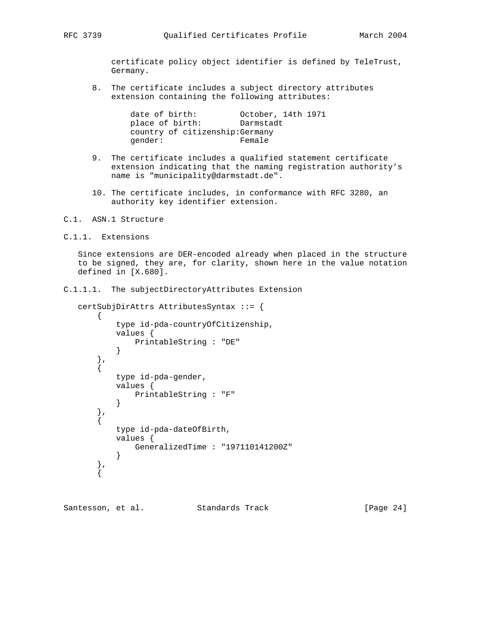certificate policy object identifier is defined by TeleTrust, Germany.

 8. The certificate includes a subject directory attributes extension containing the following attributes:

| date of birth:                  | October, 14th 1971 |
|---------------------------------|--------------------|
| place of birth:                 | Darmstadt          |
| country of citizenship: Germany |                    |
| qender:                         | Female             |

- 9. The certificate includes a qualified statement certificate extension indicating that the naming registration authority's name is "municipality@darmstadt.de".
- 10. The certificate includes, in conformance with RFC 3280, an authority key identifier extension.

C.1. ASN.1 Structure

C.1.1. Extensions

 Since extensions are DER-encoded already when placed in the structure to be signed, they are, for clarity, shown here in the value notation defined in [X.680].

C.1.1.1. The subjectDirectoryAttributes Extension

```
 certSubjDirAttrs AttributesSyntax ::= {
      {
          type id-pda-countryOfCitizenship,
          values {
             PrintableString : "DE"
 }
 },
\{ type id-pda-gender,
          values {
             PrintableString : "F"
          }
 },
\{ type id-pda-dateOfBirth,
          values {
             GeneralizedTime : "197110141200Z"
 }
 },
\{
```
Santesson, et al. Standards Track [Page 24]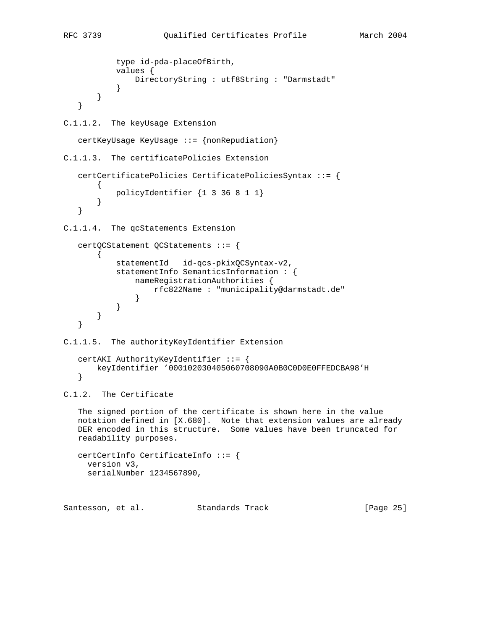```
 type id-pda-placeOfBirth,
            values {
               DirectoryString : utf8String : "Darmstadt"
 }
        }
    }
C.1.1.2. The keyUsage Extension
    certKeyUsage KeyUsage ::= {nonRepudiation}
C.1.1.3. The certificatePolicies Extension
    certCertificatePolicies CertificatePoliciesSyntax ::= {
        {
           policyIdentifier {1 3 36 8 1 1}
        }
    }
C.1.1.4. The qcStatements Extension
    certQCStatement QCStatements ::= {
       \left\{ \right. statementId id-qcs-pkixQCSyntax-v2,
            statementInfo SemanticsInformation : {
                nameRegistrationAuthorities {
                    rfc822Name : "municipality@darmstadt.de"
 }
            }
        }
    }
C.1.1.5. The authorityKeyIdentifier Extension
    certAKI AuthorityKeyIdentifier ::= {
       keyIdentifier '000102030405060708090A0B0C0D0E0FFEDCBA98'H
    }
C.1.2. The Certificate
    The signed portion of the certificate is shown here in the value
    notation defined in [X.680]. Note that extension values are already
   DER encoded in this structure. Some values have been truncated for
   readability purposes.
   certCertInfo CertificateInfo ::= {
     version v3,
     serialNumber 1234567890,
Santesson, et al. Standards Track [Page 25]
```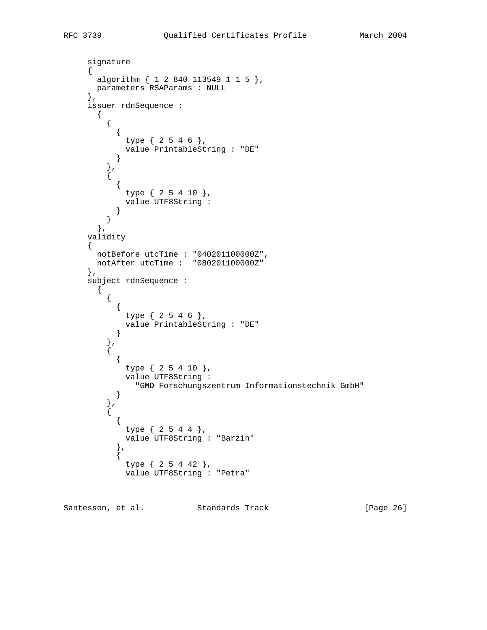```
 signature
    \left\{ \right. algorithm { 1 2 840 113549 1 1 5 },
      parameters RSAParams : NULL
      },
     issuer rdnSequence :
        {
          {
\{ type { 2 5 4 6 },
            value PrintableString : "DE"
 }
          },
          {
           {
             type { 2 5 4 10 },
             value UTF8String :
           }
          }
        },
     validity
     {
       notBefore utcTime : "040201100000Z",
       notAfter utcTime : "080201100000Z"
      },
     subject rdnSequence :
        {
         {
           {
             type { 2 5 4 6 },
             value PrintableString : "DE"
            }
          },
          {
            {
             type { 2 5 4 10 },
             value UTF8String :
            "GMD Forschungszentrum Informationstechnik GmbH"
 }
          },
          {
\{ type { 2 5 4 4 },
             value UTF8String : "Barzin"
            },
\{ type { 2 5 4 42 },
              value UTF8String : "Petra"
```
Santesson, et al. Standards Track [Page 26]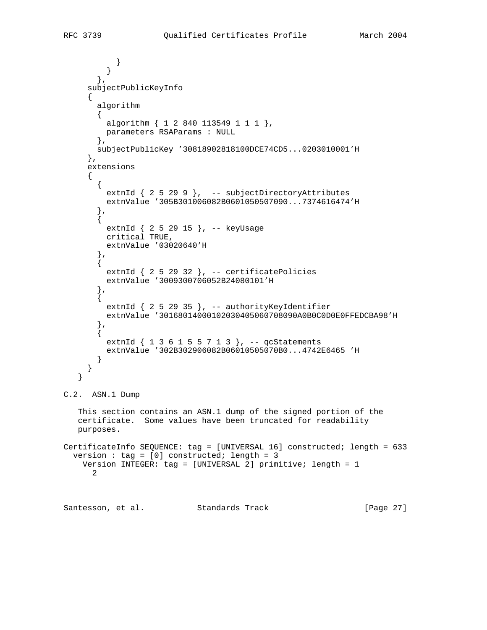```
 }
 }
        },
      subjectPublicKeyInfo
      {
        algorithm
       \left\{ \right. algorithm { 1 2 840 113549 1 1 1 },
         parameters RSAParams : NULL
        },
        subjectPublicKey '30818902818100DCE74CD5...0203010001'H
      },
      extensions
      {
        {
         extnId \{ 25299 \}, -- subjectDirectoryAttributes
          extnValue '305B301006082B0601050507090...7374616474'H
        },
\{ extnId { 2 5 29 15 }, -- keyUsage
          critical TRUE,
          extnValue '03020640'H
        },
\{extnId \{ 2 5 29 32 \}, -- certificatePolicies
          extnValue '3009300706052B24080101'H
        },
\{extnId \{ 2 5 29 35 \}, -- authorityKeyIdentifier
          extnValue '30168014000102030405060708090A0B0C0D0E0FFEDCBA98'H
        },
\{extnId \{ 1 \ 3 \ 6 \ 1 \ 5 \ 5 \ 7 \ 1 \ 3 \}, -- qcStatements
          extnValue '302B302906082B06010505070B0...4742E6465 'H
        }
      }
    }
C.2. ASN.1 Dump
    This section contains an ASN.1 dump of the signed portion of the
    certificate. Some values have been truncated for readability
    purposes.
CertificateInfo SEQUENCE: tag = [UNIVERSAL 16] constructed; length = 633
  version : tag = [0] constructed; length = 3
     Version INTEGER: tag = [UNIVERSAL 2] primitive; length = 1
       2
```
Santesson, et al. Standards Track [Page 27]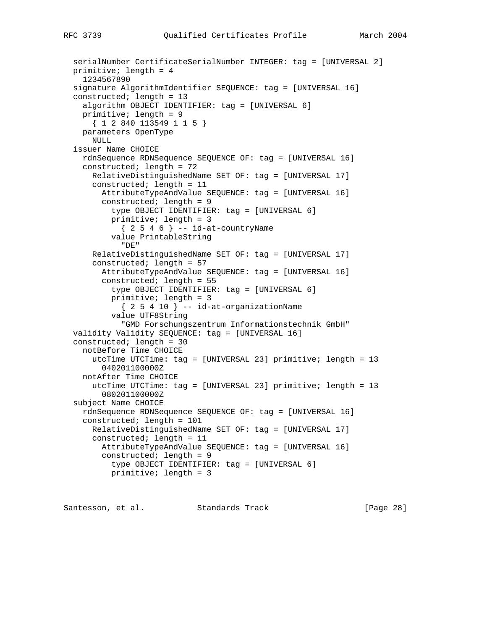```
 serialNumber CertificateSerialNumber INTEGER: tag = [UNIVERSAL 2]
 primitive; length = 4
   1234567890
 signature AlgorithmIdentifier SEQUENCE: tag = [UNIVERSAL 16]
 constructed; length = 13
   algorithm OBJECT IDENTIFIER: tag = [UNIVERSAL 6]
   primitive; length = 9
     { 1 2 840 113549 1 1 5 }
  parameters OpenType
    NULL
 issuer Name CHOICE
   rdnSequence RDNSequence SEQUENCE OF: tag = [UNIVERSAL 16]
   constructed; length = 72
     RelativeDistinguishedName SET OF: tag = [UNIVERSAL 17]
     constructed; length = 11
       AttributeTypeAndValue SEQUENCE: tag = [UNIVERSAL 16]
       constructed; length = 9
         type OBJECT IDENTIFIER: tag = [UNIVERSAL 6]
         primitive; length = 3
         {2546} -- id-at-countryName
         value PrintableString
           "DE"
     RelativeDistinguishedName SET OF: tag = [UNIVERSAL 17]
     constructed; length = 57
       AttributeTypeAndValue SEQUENCE: tag = [UNIVERSAL 16]
       constructed; length = 55
         type OBJECT IDENTIFIER: tag = [UNIVERSAL 6]
         primitive; length = 3
          {25410} -- id-at-organizationName
         value UTF8String
           "GMD Forschungszentrum Informationstechnik GmbH"
 validity Validity SEQUENCE: tag = [UNIVERSAL 16]
 constructed; length = 30
  notBefore Time CHOICE
     utcTime UTCTime: tag = [UNIVERSAL 23] primitive; length = 13
       040201100000Z
  notAfter Time CHOICE
     utcTime UTCTime: tag = [UNIVERSAL 23] primitive; length = 13
       080201100000Z
 subject Name CHOICE
   rdnSequence RDNSequence SEQUENCE OF: tag = [UNIVERSAL 16]
   constructed; length = 101
     RelativeDistinguishedName SET OF: tag = [UNIVERSAL 17]
     constructed; length = 11
      AttributeTypeAndValue SEQUENCE: tag = [UNIVERSAL 16]
       constructed; length = 9
         type OBJECT IDENTIFIER: tag = [UNIVERSAL 6]
         primitive; length = 3
```
Santesson, et al. Standards Track [Page 28]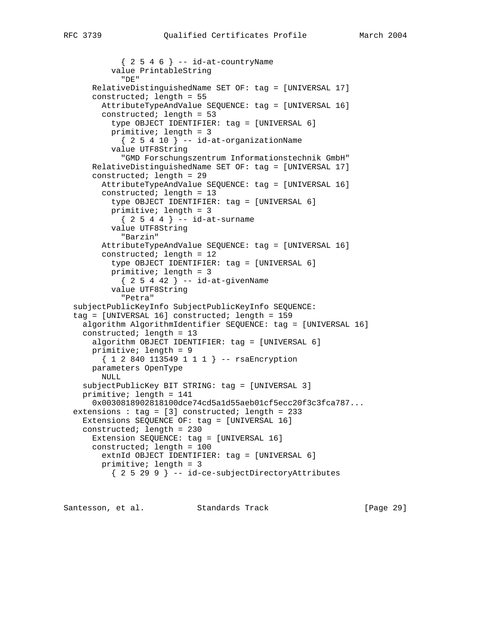```
{2546} -- id-at-countryName
         value PrintableString
           "DE"
    RelativeDistinguishedName SET OF: tag = [UNIVERSAL 17]
     constructed; length = 55
      AttributeTypeAndValue SEQUENCE: tag = [UNIVERSAL 16]
       constructed; length = 53
         type OBJECT IDENTIFIER: tag = [UNIVERSAL 6]
         primitive; length = 3
          {25410} -- id-at-organizationName
         value UTF8String
           "GMD Forschungszentrum Informationstechnik GmbH"
    RelativeDistinguishedName SET OF: tag = [UNIVERSAL 17]
    constructed; length = 29
       AttributeTypeAndValue SEQUENCE: tag = [UNIVERSAL 16]
      constructed; length = 13
         type OBJECT IDENTIFIER: tag = [UNIVERSAL 6]
        primitive; length = 3
         {2544} -- id-at-surname
         value UTF8String
           "Barzin"
       AttributeTypeAndValue SEQUENCE: tag = [UNIVERSAL 16]
       constructed; length = 12
         type OBJECT IDENTIFIER: tag = [UNIVERSAL 6]
         primitive; length = 3
          \{ 25442 \} -- id-at-givenName
         value UTF8String
           "Petra"
 subjectPublicKeyInfo SubjectPublicKeyInfo SEQUENCE:
 tag = [UNIVERSAL 16] constructed; length = 159
   algorithm AlgorithmIdentifier SEQUENCE: tag = [UNIVERSAL 16]
  constructed; length = 13
     algorithm OBJECT IDENTIFIER: tag = [UNIVERSAL 6]
    primitive; length = 9
       { 1 2 840 113549 1 1 1 } -- rsaEncryption
    parameters OpenType
      NULL
   subjectPublicKey BIT STRING: tag = [UNIVERSAL 3]
  primitive; length = 141
     0x0030818902818100dce74cd5a1d55aeb01cf5ecc20f3c3fca787...
extensions : tag = [3] constructed; length = 233
  Extensions SEQUENCE OF: tag = [UNIVERSAL 16]
  constructed; length = 230
    Extension SEQUENCE: tag = [UNIVERSAL 16]
    constructed; length = 100
      extnId OBJECT IDENTIFIER: tag = [UNIVERSAL 6]
      primitive; length = 3
        {25299} -- id-ce-subjectDirectoryAttributes
```
Santesson, et al. Standards Track [Page 29]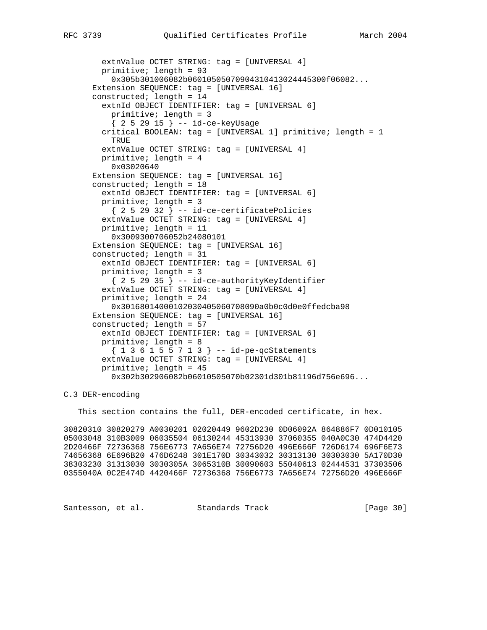```
 extnValue OCTET STRING: tag = [UNIVERSAL 4]
   primitive; length = 93
     0x305b301006082b06010505070904310413024445300f06082...
 Extension SEQUENCE: tag = [UNIVERSAL 16]
 constructed; length = 14
   extnId OBJECT IDENTIFIER: tag = [UNIVERSAL 6]
     primitive; length = 3
     { 2 5 29 15 } -- id-ce-keyUsage
   critical BOOLEAN: tag = [UNIVERSAL 1] primitive; length = 1
    TRUE.
   extnValue OCTET STRING: tag = [UNIVERSAL 4]
  primitive; length = 4
    0x03020640
 Extension SEQUENCE: tag = [UNIVERSAL 16]
 constructed; length = 18
   extnId OBJECT IDENTIFIER: tag = [UNIVERSAL 6]
  primitive; length = 3
   {2 5 29 32} -- id-ce-certificatePolicies
   extnValue OCTET STRING: tag = [UNIVERSAL 4]
  primitive; length = 11
     0x3009300706052b24080101
 Extension SEQUENCE: tag = [UNIVERSAL 16]
 constructed; length = 31
   extnId OBJECT IDENTIFIER: tag = [UNIVERSAL 6]
  primitive; length = 3
     { 2 5 29 35 } -- id-ce-authorityKeyIdentifier
  extnValue OCTET STRING: tag = [UNIVERSAL 4]
  primitive; length = 24
     0x30168014000102030405060708090a0b0c0d0e0ffedcba98
 Extension SEQUENCE: tag = [UNIVERSAL 16]
 constructed; length = 57
   extnId OBJECT IDENTIFIER: tag = [UNIVERSAL 6]
  primitive; length = 8
    { 1 3 6 1 5 5 7 1 3 } -- id-pe-qcStatements
   extnValue OCTET STRING: tag = [UNIVERSAL 4]
  primitive; length = 45
     0x302b302906082b06010505070b02301d301b81196d756e696...
```
#### C.3 DER-encoding

This section contains the full, DER-encoded certificate, in hex.

30820310 30820279 A0030201 02020449 9602D230 0D06092A 864886F7 0D010105 05003048 310B3009 06035504 06130244 45313930 37060355 040A0C30 474D4420 2D20466F 72736368 756E6773 7A656E74 72756D20 496E666F 726D6174 696F6E73 74656368 6E696B20 476D6248 301E170D 30343032 30313130 30303030 5A170D30 38303230 31313030 3030305A 3065310B 30090603 55040613 02444531 37303506 0355040A 0C2E474D 4420466F 72736368 756E6773 7A656E74 72756D20 496E666F

Santesson, et al. Standards Track [Page 30]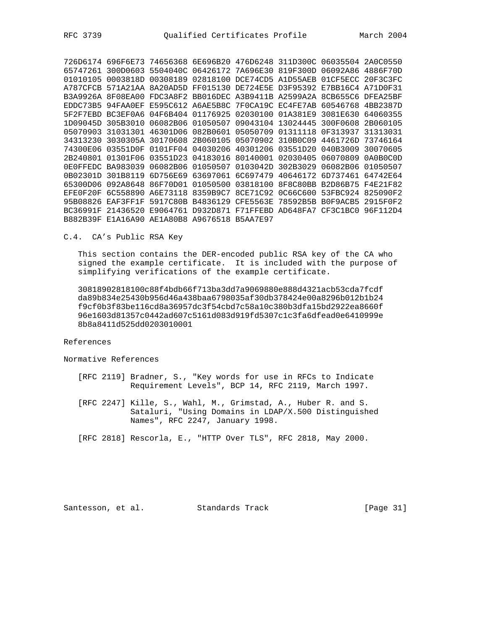726D6174 696F6E73 74656368 6E696B20 476D6248 311D300C 06035504 2A0C0550 65747261 300D0603 5504040C 06426172 7A696E30 819F300D 06092A86 4886F70D 01010105 0003818D 00308189 02818100 DCE74CD5 A1D55AEB 01CF5ECC 20F3C3FC A787CFCB 571A21AA 8A20AD5D FF015130 DE724E5E D3F95392 E7BB16C4 A71D0F31 B3A9926A 8F08EA00 FDC3A8F2 BB016DEC A3B9411B A2599A2A 8CB655C6 DFEA25BF EDDC73B5 94FAA0EF E595C612 A6AE5B8C 7F0CA19C EC4FE7AB 60546768 4BB2387D 5F2F7EBD BC3EF0A6 04F6B404 01176925 02030100 01A381E9 3081E630 64060355 1D09045D 305B3010 06082B06 01050507 09043104 13024445 300F0608 2B060105 05070903 31031301 46301D06 082B0601 05050709 01311118 0F313937 31313031 34313230 3030305A 30170608 2B060105 05070902 310B0C09 4461726D 73746164 74300E06 03551D0F 0101FF04 04030206 40301206 03551D20 040B3009 30070605 2B240801 01301F06 03551D23 04183016 80140001 02030405 06070809 0A0B0C0D 0E0FFEDC BA983039 06082B06 01050507 0103042D 302B3029 06082B06 01050507 0B02301D 301B8119 6D756E69 63697061 6C697479 40646172 6D737461 64742E64 65300D06 092A8648 86F70D01 01050500 03818100 8F8C80BB B2D86B75 F4E21F82 EFE0F20F 6C558890 A6E73118 8359B9C7 8CE71C92 0C66C600 53FBC924 825090F2 95B08826 EAF3FF1F 5917C80B B4836129 CFE5563E 78592B5B B0F9ACB5 2915F0F2 BC36991F 21436520 E9064761 D932D871 F71FFEBD AD648FA7 CF3C1BC0 96F112D4 B882B39F E1A16A90 AE1A80B8 A9676518 B5AA7E97

C.4. CA's Public RSA Key

 This section contains the DER-encoded public RSA key of the CA who signed the example certificate. It is included with the purpose of simplifying verifications of the example certificate.

 30818902818100c88f4bdb66f713ba3dd7a9069880e888d4321acb53cda7fcdf da89b834e25430b956d46a438baa6798035af30db378424e00a8296b012b1b24 f9cf0b3f83be116cd8a36957dc3f54cbd7c58a10c380b3dfa15bd2922ea8660f 96e1603d81357c0442ad607c5161d083d919fd5307c1c3fa6dfead0e6410999e 8b8a8411d525dd0203010001

References

Normative References

- [RFC 2119] Bradner, S., "Key words for use in RFCs to Indicate Requirement Levels", BCP 14, RFC 2119, March 1997.
- [RFC 2247] Kille, S., Wahl, M., Grimstad, A., Huber R. and S. Sataluri, "Using Domains in LDAP/X.500 Distinguished Names", RFC 2247, January 1998.
- [RFC 2818] Rescorla, E., "HTTP Over TLS", RFC 2818, May 2000.

Santesson, et al. Standards Track [Page 31]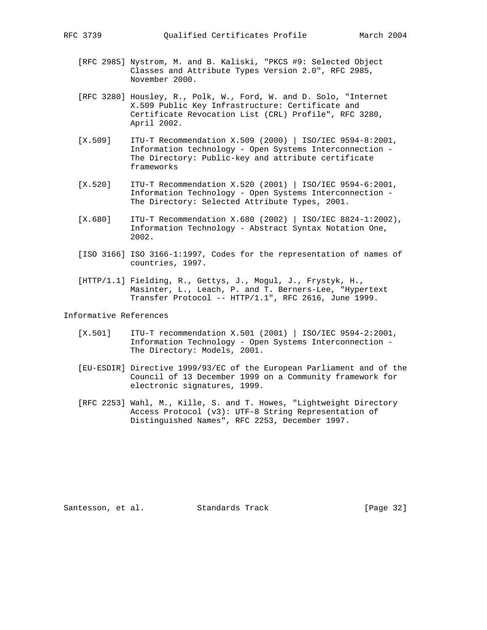- [RFC 2985] Nystrom, M. and B. Kaliski, "PKCS #9: Selected Object Classes and Attribute Types Version 2.0", RFC 2985, November 2000.
- [RFC 3280] Housley, R., Polk, W., Ford, W. and D. Solo, "Internet X.509 Public Key Infrastructure: Certificate and Certificate Revocation List (CRL) Profile", RFC 3280, April 2002.
- [X.509] ITU-T Recommendation X.509 (2000) | ISO/IEC 9594-8:2001, Information technology - Open Systems Interconnection - The Directory: Public-key and attribute certificate frameworks
- [X.520] ITU-T Recommendation X.520 (2001) | ISO/IEC 9594-6:2001, Information Technology - Open Systems Interconnection - The Directory: Selected Attribute Types, 2001.
- [X.680] ITU-T Recommendation X.680 (2002) | ISO/IEC 8824-1:2002), Information Technology - Abstract Syntax Notation One, 2002.
- [ISO 3166] ISO 3166-1:1997, Codes for the representation of names of countries, 1997.
- [HTTP/1.1] Fielding, R., Gettys, J., Mogul, J., Frystyk, H., Masinter, L., Leach, P. and T. Berners-Lee, "Hypertext Transfer Protocol -- HTTP/1.1", RFC 2616, June 1999.

Informative References

- [X.501] ITU-T recommendation X.501 (2001) | ISO/IEC 9594-2:2001, Information Technology - Open Systems Interconnection - The Directory: Models, 2001.
- [EU-ESDIR] Directive 1999/93/EC of the European Parliament and of the Council of 13 December 1999 on a Community framework for electronic signatures, 1999.
- [RFC 2253] Wahl, M., Kille, S. and T. Howes, "Lightweight Directory Access Protocol (v3): UTF-8 String Representation of Distinguished Names", RFC 2253, December 1997.

Santesson, et al. Standards Track [Page 32]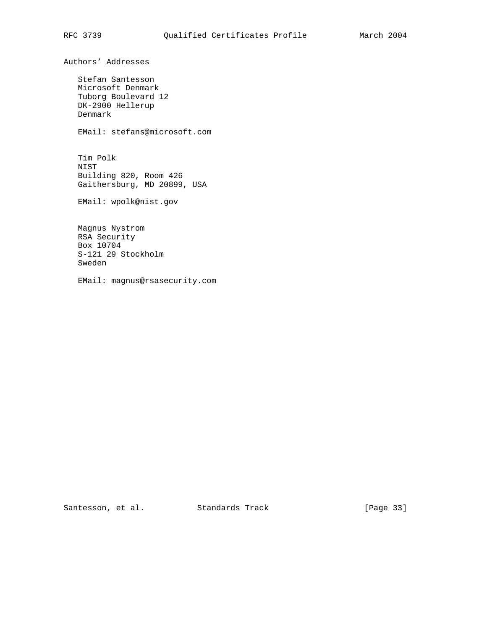Authors' Addresses

 Stefan Santesson Microsoft Denmark Tuborg Boulevard 12 DK-2900 Hellerup Denmark

EMail: stefans@microsoft.com

 Tim Polk NIST Building 820, Room 426 Gaithersburg, MD 20899, USA

EMail: wpolk@nist.gov

 Magnus Nystrom RSA Security Box 10704 S-121 29 Stockholm Sweden

EMail: magnus@rsasecurity.com

Santesson, et al. Standards Track [Page 33]